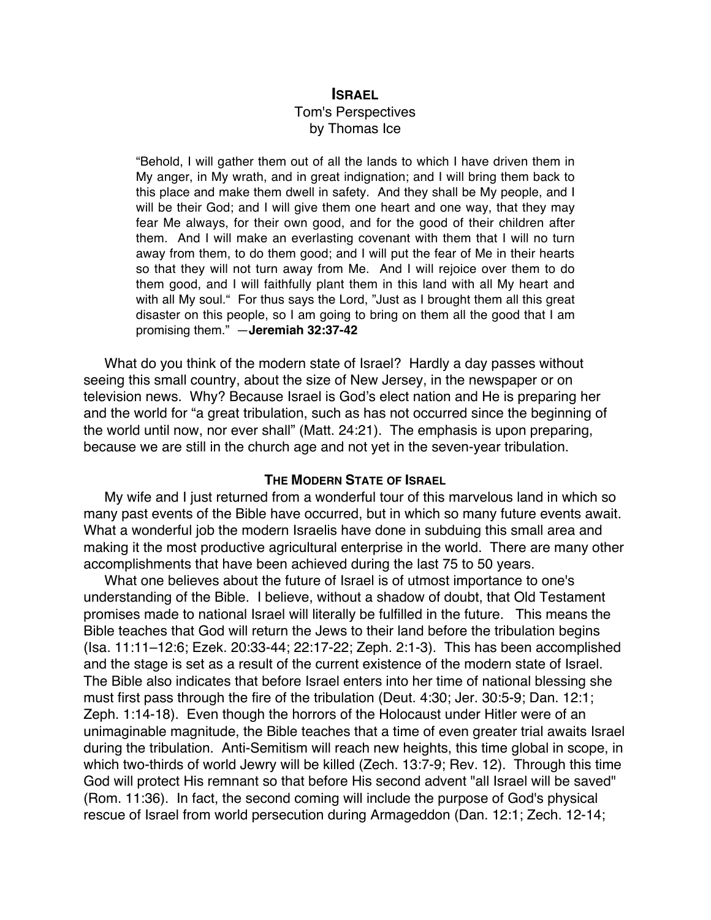# **ISRAEL** Tom's Perspectives by Thomas Ice

"Behold, I will gather them out of all the lands to which I have driven them in My anger, in My wrath, and in great indignation; and I will bring them back to this place and make them dwell in safety. And they shall be My people, and I will be their God; and I will give them one heart and one way, that they may fear Me always, for their own good, and for the good of their children after them. And I will make an everlasting covenant with them that I will no turn away from them, to do them good; and I will put the fear of Me in their hearts so that they will not turn away from Me. And I will rejoice over them to do them good, and I will faithfully plant them in this land with all My heart and with all My soul." For thus says the Lord, "Just as I brought them all this great disaster on this people, so I am going to bring on them all the good that I am promising them." —**Jeremiah 32:37-42**

What do you think of the modern state of Israel? Hardly a day passes without seeing this small country, about the size of New Jersey, in the newspaper or on television news. Why? Because Israel is God's elect nation and He is preparing her and the world for "a great tribulation, such as has not occurred since the beginning of the world until now, nor ever shall" (Matt. 24:21). The emphasis is upon preparing, because we are still in the church age and not yet in the seven-year tribulation.

## **THE MODERN STATE OF ISRAEL**

My wife and I just returned from a wonderful tour of this marvelous land in which so many past events of the Bible have occurred, but in which so many future events await. What a wonderful job the modern Israelis have done in subduing this small area and making it the most productive agricultural enterprise in the world. There are many other accomplishments that have been achieved during the last 75 to 50 years.

What one believes about the future of Israel is of utmost importance to one's understanding of the Bible. I believe, without a shadow of doubt, that Old Testament promises made to national Israel will literally be fulfilled in the future. This means the Bible teaches that God will return the Jews to their land before the tribulation begins (Isa. 11:11–12:6; Ezek. 20:33-44; 22:17-22; Zeph. 2:1-3). This has been accomplished and the stage is set as a result of the current existence of the modern state of Israel. The Bible also indicates that before Israel enters into her time of national blessing she must first pass through the fire of the tribulation (Deut. 4:30; Jer. 30:5-9; Dan. 12:1; Zeph. 1:14-18). Even though the horrors of the Holocaust under Hitler were of an unimaginable magnitude, the Bible teaches that a time of even greater trial awaits Israel during the tribulation. Anti-Semitism will reach new heights, this time global in scope, in which two-thirds of world Jewry will be killed (Zech. 13:7-9; Rev. 12). Through this time God will protect His remnant so that before His second advent "all Israel will be saved" (Rom. 11:36). In fact, the second coming will include the purpose of God's physical rescue of Israel from world persecution during Armageddon (Dan. 12:1; Zech. 12-14;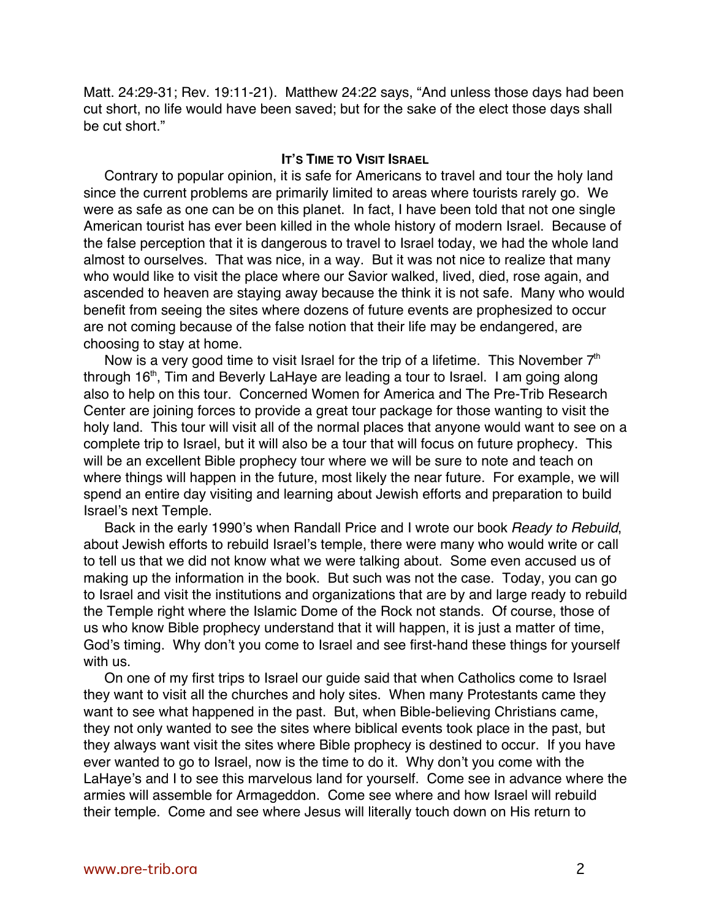Matt. 24:29-31; Rev. 19:11-21). Matthew 24:22 says, "And unless those days had been cut short, no life would have been saved; but for the sake of the elect those days shall be cut short."

## **IT'S TIME TO VISIT ISRAEL**

Contrary to popular opinion, it is safe for Americans to travel and tour the holy land since the current problems are primarily limited to areas where tourists rarely go. We were as safe as one can be on this planet. In fact, I have been told that not one single American tourist has ever been killed in the whole history of modern Israel. Because of the false perception that it is dangerous to travel to Israel today, we had the whole land almost to ourselves. That was nice, in a way. But it was not nice to realize that many who would like to visit the place where our Savior walked, lived, died, rose again, and ascended to heaven are staying away because the think it is not safe. Many who would benefit from seeing the sites where dozens of future events are prophesized to occur are not coming because of the false notion that their life may be endangered, are choosing to stay at home.

Now is a very good time to visit Israel for the trip of a lifetime. This November  $7<sup>th</sup>$ through 16<sup>th</sup>, Tim and Beverly LaHaye are leading a tour to Israel. I am going along also to help on this tour. Concerned Women for America and The Pre-Trib Research Center are joining forces to provide a great tour package for those wanting to visit the holy land. This tour will visit all of the normal places that anyone would want to see on a complete trip to Israel, but it will also be a tour that will focus on future prophecy. This will be an excellent Bible prophecy tour where we will be sure to note and teach on where things will happen in the future, most likely the near future. For example, we will spend an entire day visiting and learning about Jewish efforts and preparation to build Israel's next Temple.

Back in the early 1990's when Randall Price and I wrote our book Ready to Rebuild, about Jewish efforts to rebuild Israel's temple, there were many who would write or call to tell us that we did not know what we were talking about. Some even accused us of making up the information in the book. But such was not the case. Today, you can go to Israel and visit the institutions and organizations that are by and large ready to rebuild the Temple right where the Islamic Dome of the Rock not stands. Of course, those of us who know Bible prophecy understand that it will happen, it is just a matter of time, God's timing. Why don't you come to Israel and see first-hand these things for yourself with us.

On one of my first trips to Israel our guide said that when Catholics come to Israel they want to visit all the churches and holy sites. When many Protestants came they want to see what happened in the past. But, when Bible-believing Christians came, they not only wanted to see the sites where biblical events took place in the past, but they always want visit the sites where Bible prophecy is destined to occur. If you have ever wanted to go to Israel, now is the time to do it. Why don't you come with the LaHaye's and I to see this marvelous land for yourself. Come see in advance where the armies will assemble for Armageddon. Come see where and how Israel will rebuild their temple. Come and see where Jesus will literally touch down on His return to